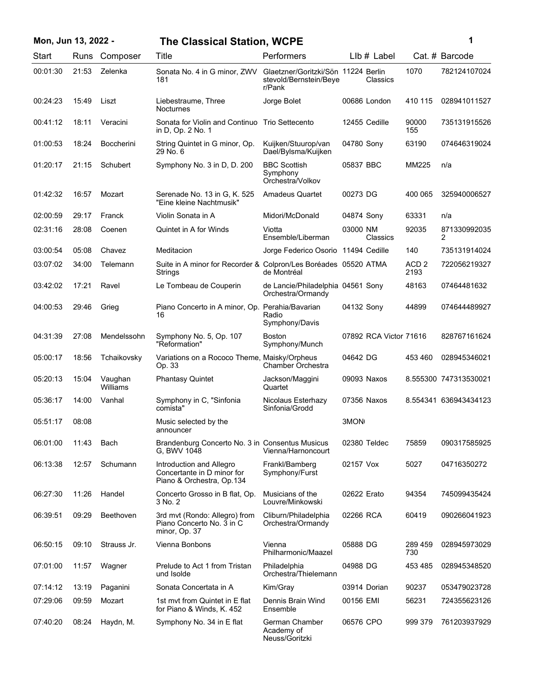| Mon, Jun 13, 2022 - |       |                     | <b>The Classical Station, WCPE</b>                                                  |                                                                         |                        |                          | 1                     |
|---------------------|-------|---------------------|-------------------------------------------------------------------------------------|-------------------------------------------------------------------------|------------------------|--------------------------|-----------------------|
| Start               |       | Runs Composer       | Title                                                                               | Performers                                                              | $Llb#$ Label           |                          | Cat. # Barcode        |
| 00:01:30            | 21:53 | Zelenka             | Sonata No. 4 in G minor, ZWV<br>181                                                 | Glaetzner/Goritzki/Sön 11224 Berlin<br>stevold/Bernstein/Beye<br>r/Pank | Classics               | 1070                     | 782124107024          |
| 00:24:23            | 15:49 | Liszt               | Liebestraume, Three<br>Nocturnes                                                    | Jorge Bolet                                                             | 00686 London           | 410 115                  | 028941011527          |
| 00:41:12            | 18:11 | Veracini            | Sonata for Violin and Continuo<br>in D, Op. 2 No. 1                                 | <b>Trio Settecento</b>                                                  | 12455 Cedille          | 90000<br>155             | 735131915526          |
| 01:00:53            | 18:24 | <b>Boccherini</b>   | String Quintet in G minor, Op.<br>29 No. 6                                          | Kuijken/Stuurop/van<br>Dael/Bylsma/Kuijken                              | 04780 Sony             | 63190                    | 074646319024          |
| 01:20:17            | 21:15 | Schubert            | Symphony No. 3 in D, D. 200                                                         | <b>BBC Scottish</b><br>Symphony<br>Orchestra/Volkov                     | 05837 BBC              | MM225                    | n/a                   |
| 01:42:32            | 16:57 | Mozart              | Serenade No. 13 in G, K. 525<br>"Eine kleine Nachtmusik"                            | <b>Amadeus Quartet</b>                                                  | 00273 DG               | 400 065                  | 325940006527          |
| 02:00:59            | 29:17 | Franck              | Violin Sonata in A                                                                  | Midori/McDonald                                                         | 04874 Sony             | 63331                    | n/a                   |
| 02:31:16            | 28:08 | Coenen              | Quintet in A for Winds                                                              | Viotta<br>Ensemble/Liberman                                             | 03000 NM<br>Classics   | 92035                    | 871330992035<br>2     |
| 03:00:54            | 05:08 | Chavez              | Meditacion                                                                          | Jorge Federico Osorio 11494 Cedille                                     |                        | 140                      | 735131914024          |
| 03:07:02            | 34:00 | Telemann            | Suite in A minor for Recorder & Colpron/Les Boréades 05520 ATMA<br>Strings          | de Montréal                                                             |                        | ACD <sub>2</sub><br>2193 | 722056219327          |
| 03:42:02            | 17:21 | Ravel               | Le Tombeau de Couperin                                                              | de Lancie/Philadelphia 04561 Sony<br>Orchestra/Ormandy                  |                        | 48163                    | 07464481632           |
| 04:00:53            | 29:46 | Grieg               | Piano Concerto in A minor, Op. Perahia/Bavarian<br>16                               | Radio<br>Symphony/Davis                                                 | 04132 Sony             | 44899                    | 074644489927          |
| 04:31:39            | 27:08 | Mendelssohn         | Symphony No. 5, Op. 107<br>"Reformation"                                            | <b>Boston</b><br>Symphony/Munch                                         | 07892 RCA Victor 71616 |                          | 828767161624          |
| 05:00:17            | 18:56 | Tchaikovsky         | Variations on a Rococo Theme, Maisky/Orpheus<br>Op. 33                              | Chamber Orchestra                                                       | 04642 DG               | 453 460                  | 028945346021          |
| 05:20:13            | 15:04 | Vaughan<br>Williams | <b>Phantasy Quintet</b>                                                             | Jackson/Maggini<br>Quartet                                              | 09093 Naxos            |                          | 8.555300 747313530021 |
| 05:36:17            | 14:00 | Vanhal              | Symphony in C, "Sinfonia<br>comista"                                                | Nicolaus Esterhazy<br>Sinfonia/Grodd                                    | 07356 Naxos            |                          | 8.554341 636943434123 |
| 05:51:17            | 08:08 |                     | Music selected by the<br>announcer                                                  |                                                                         | 3MON                   |                          |                       |
| 06:01:00            | 11:43 | Bach                | Brandenburg Concerto No. 3 in Consentus Musicus<br>G. BWV 1048                      | Vienna/Harnoncourt                                                      | 02380 Teldec           | 75859                    | 090317585925          |
| 06:13:38            | 12:57 | Schumann            | Introduction and Allegro<br>Concertante in D minor for<br>Piano & Orchestra, Op.134 | Frankl/Bamberg<br>Symphony/Furst                                        | 02157 Vox              | 5027                     | 04716350272           |
| 06:27:30            | 11:26 | Handel              | Concerto Grosso in B flat, Op.<br>3 No. 2                                           | Musicians of the<br>Louvre/Minkowski                                    | 02622 Erato            | 94354                    | 745099435424          |
| 06:39:51            | 09:29 | <b>Beethoven</b>    | 3rd mvt (Rondo: Allegro) from<br>Piano Concerto No. 3 in C<br>minor, Op. 37         | Cliburn/Philadelphia<br>Orchestra/Ormandy                               | 02266 RCA              | 60419                    | 090266041923          |
| 06:50:15            | 09:10 | Strauss Jr.         | Vienna Bonbons                                                                      | Vienna<br>Philharmonic/Maazel                                           | 05888 DG               | 289 459<br>730           | 028945973029          |
| 07:01:00            | 11:57 | Wagner              | Prelude to Act 1 from Tristan<br>und Isolde                                         | Philadelphia<br>Orchestra/Thielemann                                    | 04988 DG               | 453 485                  | 028945348520          |
| 07:14:12            | 13:19 | Paganini            | Sonata Concertata in A                                                              | Kim/Gray                                                                | 03914 Dorian           | 90237                    | 053479023728          |
| 07:29:06            | 09:59 | Mozart              | 1st myt from Quintet in E flat<br>for Piano & Winds, K. 452                         | Dennis Brain Wind<br>Ensemble                                           | 00156 EMI              | 56231                    | 724355623126          |
| 07:40:20            | 08:24 | Haydn, M.           | Symphony No. 34 in E flat                                                           | German Chamber<br>Academy of<br>Neuss/Goritzki                          | 06576 CPO              | 999 379                  | 761203937929          |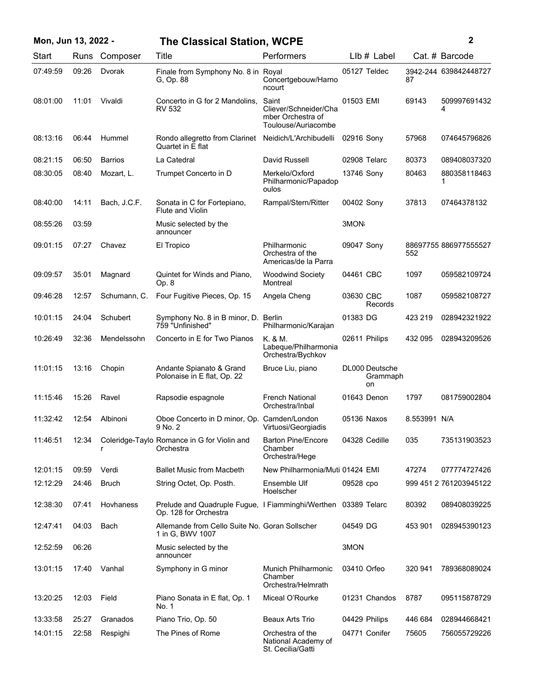| Mon, Jun 13, 2022 - |       |                | <b>The Classical Station, WCPE</b>                                                      |                                                                            |               |                                  |              | $\mathbf{2}$           |
|---------------------|-------|----------------|-----------------------------------------------------------------------------------------|----------------------------------------------------------------------------|---------------|----------------------------------|--------------|------------------------|
| Start               |       | Runs Composer  | Title                                                                                   | Performers                                                                 |               | LIb # Label                      |              | Cat. # Barcode         |
| 07:49:59            | 09:26 | Dvorak         | Finale from Symphony No. 8 in Royal<br>G, Op. 88                                        | Concertgebouw/Harno<br>ncourt                                              |               | 05127 Teldec                     | 87           | 3942-244 639842448727  |
| 08:01:00            | 11:01 | Vivaldi        | Concerto in G for 2 Mandolins,<br>RV 532                                                | Saint<br>Cliever/Schneider/Cha<br>mber Orchestra of<br>Toulouse/Auriacombe | 01503 EMI     |                                  | 69143        | 509997691432<br>4      |
| 08:13:16            | 06:44 | Hummel         | Rondo allegretto from Clarinet<br>Quartet in E flat                                     | Neidich/L'Archibudelli                                                     | 02916 Sony    |                                  | 57968        | 074645796826           |
| 08:21:15            | 06:50 | <b>Barrios</b> | La Catedral                                                                             | David Russell                                                              | 02908 Telarc  |                                  | 80373        | 089408037320           |
| 08:30:05            | 08:40 | Mozart, L.     | Trumpet Concerto in D                                                                   | Merkelo/Oxford<br>Philharmonic/Papadop<br>oulos                            | 13746 Sony    |                                  | 80463        | 880358118463           |
| 08:40:00            | 14:11 | Bach, J.C.F.   | Sonata in C for Fortepiano,<br>Flute and Violin                                         | Rampal/Stern/Ritter                                                        | 00402 Sony    |                                  | 37813        | 07464378132            |
| 08:55:26            | 03:59 |                | Music selected by the<br>announcer                                                      |                                                                            | 3MON          |                                  |              |                        |
| 09:01:15            | 07:27 | Chavez         | El Tropico                                                                              | Philharmonic<br>Orchestra of the<br>Americas/de la Parra                   | 09047 Sony    |                                  | 552          | 88697755 886977555527  |
| 09:09:57            | 35:01 | Magnard        | Quintet for Winds and Piano,<br>Op. 8                                                   | <b>Woodwind Society</b><br>Montreal                                        | 04461 CBC     |                                  | 1097         | 059582109724           |
| 09:46:28            | 12:57 | Schumann, C.   | Four Fugitive Pieces, Op. 15                                                            | Angela Cheng                                                               | 03630 CBC     | Records                          | 1087         | 059582108727           |
| 10:01:15            | 24:04 | Schubert       | Symphony No. 8 in B minor, D. Berlin<br>759 "Unfinished"                                | Philharmonic/Karajan                                                       | 01383 DG      |                                  | 423 219      | 028942321922           |
| 10:26:49            | 32:36 | Mendelssohn    | Concerto in E for Two Pianos                                                            | K. & M.<br>Labeque/Philharmonia<br>Orchestra/Bychkov                       |               | 02611 Philips                    | 432 095      | 028943209526           |
| 11:01:15            | 13:16 | Chopin         | Andante Spianato & Grand<br>Polonaise in E flat, Op. 22                                 | Bruce Liu, piano                                                           |               | DL000 Deutsche<br>Grammaph<br>on |              |                        |
| 11:15:46            | 15:26 | Ravel          | Rapsodie espagnole                                                                      | <b>French National</b><br>Orchestra/Inbal                                  | 01643 Denon   |                                  | 1797         | 081759002804           |
| 11:32:42            | 12:54 | Albinoni       | Oboe Concerto in D minor, Op. Camden/London<br>9 No. 2                                  | Virtuosi/Georgiadis                                                        | 05136 Naxos   |                                  | 8.553991 N/A |                        |
| 11:46:51            | 12:34 |                | Coleridge-Taylo Romance in G for Violin and<br>Orchestra                                | <b>Barton Pine/Encore</b><br>Chamber<br>Orchestra/Hege                     |               | 04328 Cedille                    | 035          | 735131903523           |
| 12:01:15            | 09:59 | Verdi          | Ballet Music from Macbeth                                                               | New Philharmonia/Muti 01424 EMI                                            |               |                                  | 47274        | 077774727426           |
| 12:12:29            | 24:46 | <b>Bruch</b>   | String Octet, Op. Posth.                                                                | Ensemble Ulf<br>Hoelscher                                                  | 09528 cpo     |                                  |              | 999 451 2 761203945122 |
| 12:38:30            | 07:41 | Hovhaness      | Prelude and Quadruple Fugue, I Fiamminghi/Werthen 03389 Telarc<br>Op. 128 for Orchestra |                                                                            |               |                                  | 80392        | 089408039225           |
| 12:47:41            | 04:03 | Bach           | Allemande from Cello Suite No. Goran Sollscher<br>1 in G, BWV 1007                      |                                                                            | 04549 DG      |                                  | 453 901      | 028945390123           |
| 12:52:59            | 06:26 |                | Music selected by the<br>announcer                                                      |                                                                            | 3MON          |                                  |              |                        |
| 13:01:15            | 17:40 | Vanhal         | Symphony in G minor                                                                     | Munich Philharmonic<br>Chamber<br>Orchestra/Helmrath                       | 03410 Orfeo   |                                  | 320 941      | 789368089024           |
| 13:20:25            | 12:03 | Field          | Piano Sonata in E flat, Op. 1<br>No. 1                                                  | Miceal O'Rourke                                                            |               | 01231 Chandos                    | 8787         | 095115878729           |
| 13:33:58            | 25:27 | Granados       | Piano Trio, Op. 50                                                                      | Beaux Arts Trio                                                            | 04429 Philips |                                  | 446 684      | 028944668421           |
| 14:01:15            | 22:58 | Respighi       | The Pines of Rome                                                                       | Orchestra of the<br>National Academy of<br>St. Cecilia/Gatti               |               | 04771 Conifer                    | 75605        | 756055729226           |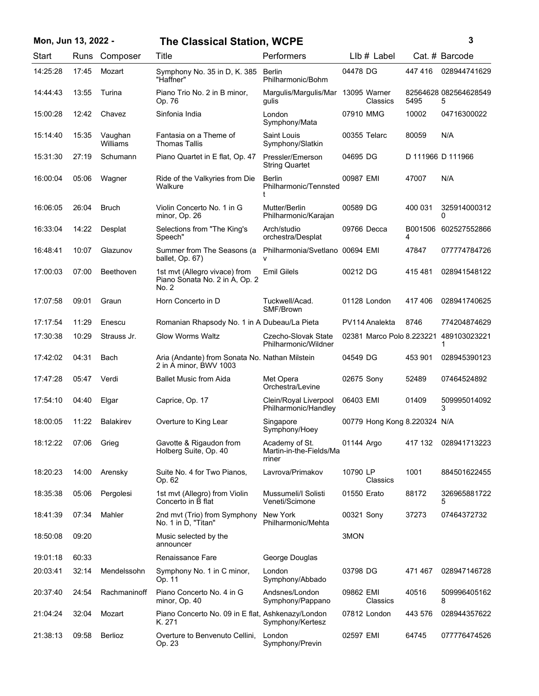| Mon, Jun 13, 2022 - |  |  |  |  |
|---------------------|--|--|--|--|
|---------------------|--|--|--|--|

## **Mon, Jun 13, 2022 - 3 The Classical Station, WCPE**

|  |   | ٦ |  |
|--|---|---|--|
|  |   |   |  |
|  |   |   |  |
|  | ٦ |   |  |

| Start    | Runs  | Composer            | <b>Title</b>                                                             | Performers                                          | LIb # Label                            |              | Cat. # Barcode             |
|----------|-------|---------------------|--------------------------------------------------------------------------|-----------------------------------------------------|----------------------------------------|--------------|----------------------------|
| 14:25:28 | 17:45 | Mozart              | Symphony No. 35 in D, K. 385<br>"Haffner"                                | Berlin<br>Philharmonic/Bohm                         | 04478 DG                               | 447416       | 028944741629               |
| 14:44:43 | 13:55 | Turina              | Piano Trio No. 2 in B minor,<br>Op. 76                                   | Margulis/Margulis/Mar<br>gulis                      | 13095 Warner<br>Classics               | 5495         | 82564628 082564628549<br>5 |
| 15:00:28 | 12:42 | Chavez              | Sinfonia India                                                           | London<br>Symphony/Mata                             | 07910 MMG                              | 10002        | 04716300022                |
| 15:14:40 | 15:35 | Vaughan<br>Williams | Fantasia on a Theme of<br><b>Thomas Tallis</b>                           | Saint Louis<br>Symphony/Slatkin                     | 00355 Telarc                           | 80059        | N/A                        |
| 15:31:30 | 27:19 | Schumann            | Piano Quartet in E flat, Op. 47                                          | Pressler/Emerson<br><b>String Quartet</b>           | 04695 DG                               |              | D 111966 D 111966          |
| 16:00:04 | 05:06 | Wagner              | Ride of the Valkyries from Die<br>Walkure                                | <b>Berlin</b><br>Philharmonic/Tennsted              | 00987 EMI                              | 47007        | N/A                        |
| 16:06:05 | 26:04 | <b>Bruch</b>        | Violin Concerto No. 1 in G<br>minor, Op. 26                              | Mutter/Berlin<br>Philharmonic/Karajan               | 00589 DG                               | 400 031      | 325914000312<br>0          |
| 16:33:04 | 14:22 | Desplat             | Selections from "The King's<br>Speech"                                   | Arch/studio<br>orchestra/Desplat                    | 09766 Decca                            | B001506<br>4 | 602527552866               |
| 16:48:41 | 10:07 | Glazunov            | Summer from The Seasons (a<br>ballet, Op. 67)                            | Philharmonia/Svetlano 00694 EMI<br>v                |                                        | 47847        | 077774784726               |
| 17:00:03 | 07:00 | Beethoven           | 1st mvt (Allegro vivace) from<br>Piano Sonata No. 2 in A, Op. 2<br>No. 2 | <b>Emil Gilels</b>                                  | 00212 DG                               | 415 481      | 028941548122               |
| 17:07:58 | 09:01 | Graun               | Horn Concerto in D                                                       | Tuckwell/Acad.<br>SMF/Brown                         | 01128 London                           | 417406       | 028941740625               |
| 17:17:54 | 11:29 | Enescu              | Romanian Rhapsody No. 1 in A Dubeau/La Pieta                             |                                                     | PV114 Analekta                         | 8746         | 774204874629               |
| 17:30:38 | 10:29 | Strauss Jr.         | <b>Glow Worms Waltz</b>                                                  | Czecho-Slovak State<br>Philharmonic/Wildner         | 02381 Marco Polo 8.223221 489103023221 |              |                            |
| 17:42:02 | 04:31 | Bach                | Aria (Andante) from Sonata No. Nathan Milstein<br>2 in A minor, BWV 1003 |                                                     | 04549 DG                               | 453 901      | 028945390123               |
| 17:47:28 | 05:47 | Verdi               | <b>Ballet Music from Aida</b>                                            | Met Opera<br>Orchestra/Levine                       | 02675 Sony                             | 52489        | 07464524892                |
| 17:54:10 | 04:40 | Elgar               | Caprice, Op. 17                                                          | Clein/Royal Liverpool<br>Philharmonic/Handley       | 06403 EMI                              | 01409        | 509995014092<br>3          |
| 18:00:05 | 11:22 | <b>Balakirev</b>    | Overture to King Lear                                                    | Singapore<br>Symphony/Hoey                          | 00779 Hong Kong 8.220324 N/A           |              |                            |
| 18:12:22 | 07:06 | Grieg               | Gavotte & Rigaudon from<br>Holberg Suite, Op. 40                         | Academy of St.<br>Martin-in-the-Fields/Ma<br>rriner | 01144 Argo                             |              | 417 132 028941713223       |
| 18:20:23 | 14:00 | Arensky             | Suite No. 4 for Two Pianos,<br>Op. 62                                    | Lavrova/Primakov                                    | 10790 LP<br>Classics                   | 1001         | 884501622455               |
| 18:35:38 | 05:06 | Pergolesi           | 1st mvt (Allegro) from Violin<br>Concerto in B flat                      | Mussumeli/I Solisti<br>Veneti/Scimone               | 01550 Erato                            | 88172        | 326965881722<br>5          |
| 18:41:39 | 07:34 | Mahler              | 2nd mvt (Trio) from Symphony<br>No. 1 in D, "Titan"                      | New York<br>Philharmonic/Mehta                      | 00321 Sony                             | 37273        | 07464372732                |
| 18:50:08 | 09:20 |                     | Music selected by the<br>announcer                                       |                                                     | 3MON                                   |              |                            |
| 19:01:18 | 60:33 |                     | Renaissance Fare                                                         | George Douglas                                      |                                        |              |                            |
| 20:03:41 | 32:14 | Mendelssohn         | Symphony No. 1 in C minor,<br>Op. 11                                     | London<br>Symphony/Abbado                           | 03798 DG                               | 471467       | 028947146728               |
| 20:37:40 | 24:54 | Rachmaninoff        | Piano Concerto No. 4 in G<br>minor, Op. 40                               | Andsnes/London<br>Symphony/Pappano                  | 09862 EMI<br>Classics                  | 40516        | 509996405162<br>8          |
| 21:04:24 | 32:04 | Mozart              | Piano Concerto No. 09 in E flat, Ashkenazy/London<br>K. 271              | Symphony/Kertesz                                    | 07812 London                           | 443 576      | 028944357622               |
| 21:38:13 | 09:58 | Berlioz             | Overture to Benvenuto Cellini,<br>Op. 23                                 | London<br>Symphony/Previn                           | 02597 EMI                              | 64745        | 077776474526               |